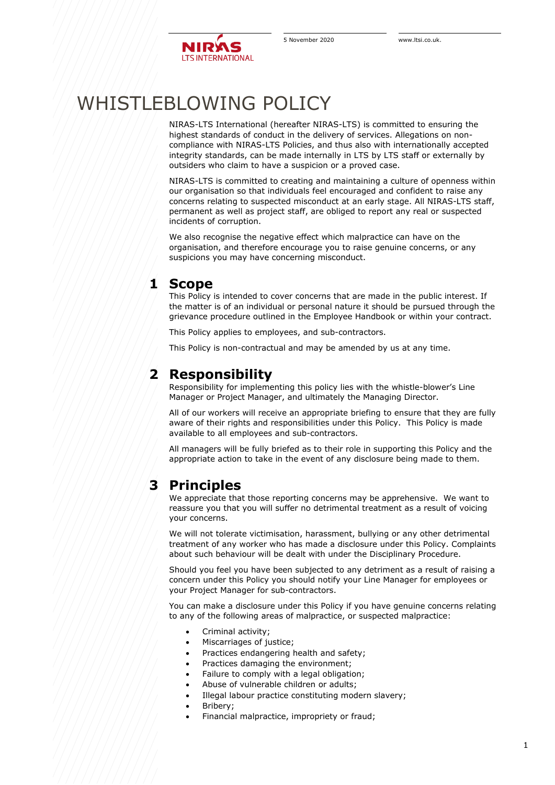

# WHISTLEBLOWING POLICY

NIRAS-LTS International (hereafter NIRAS-LTS) is committed to ensuring the highest standards of conduct in the delivery of services. Allegations on noncompliance with NIRAS-LTS Policies, and thus also with internationally accepted integrity standards, can be made internally in LTS by LTS staff or externally by outsiders who claim to have a suspicion or a proved case.

NIRAS-LTS is committed to creating and maintaining a culture of openness within our organisation so that individuals feel encouraged and confident to raise any concerns relating to suspected misconduct at an early stage. All NIRAS-LTS staff, permanent as well as project staff, are obliged to report any real or suspected incidents of corruption.

We also recognise the negative effect which malpractice can have on the organisation, and therefore encourage you to raise genuine concerns, or any suspicions you may have concerning misconduct.

# **1 Scope**

This Policy is intended to cover concerns that are made in the public interest. If the matter is of an individual or personal nature it should be pursued through the grievance procedure outlined in the Employee Handbook or within your contract.

This Policy applies to employees, and sub-contractors.

This Policy is non-contractual and may be amended by us at any time.

# **2 Responsibility**

Responsibility for implementing this policy lies with the whistle-blower's Line Manager or Project Manager, and ultimately the Managing Director.

All of our workers will receive an appropriate briefing to ensure that they are fully aware of their rights and responsibilities under this Policy. This Policy is made available to all employees and sub-contractors.

All managers will be fully briefed as to their role in supporting this Policy and the appropriate action to take in the event of any disclosure being made to them.

# **3 Principles**

We appreciate that those reporting concerns may be apprehensive. We want to reassure you that you will suffer no detrimental treatment as a result of voicing your concerns.

We will not tolerate victimisation, harassment, bullying or any other detrimental treatment of any worker who has made a disclosure under this Policy. Complaints about such behaviour will be dealt with under the Disciplinary Procedure.

Should you feel you have been subjected to any detriment as a result of raising a concern under this Policy you should notify your Line Manager for employees or your Project Manager for sub-contractors.

You can make a disclosure under this Policy if you have genuine concerns relating to any of the following areas of malpractice, or suspected malpractice:

- Criminal activity;
- Miscarriages of justice;
- Practices endangering health and safety;
- Practices damaging the environment;
- Failure to comply with a legal obligation;
- Abuse of vulnerable children or adults;
- Illegal labour practice constituting modern slavery;
- Bribery;
- Financial malpractice, impropriety or fraud;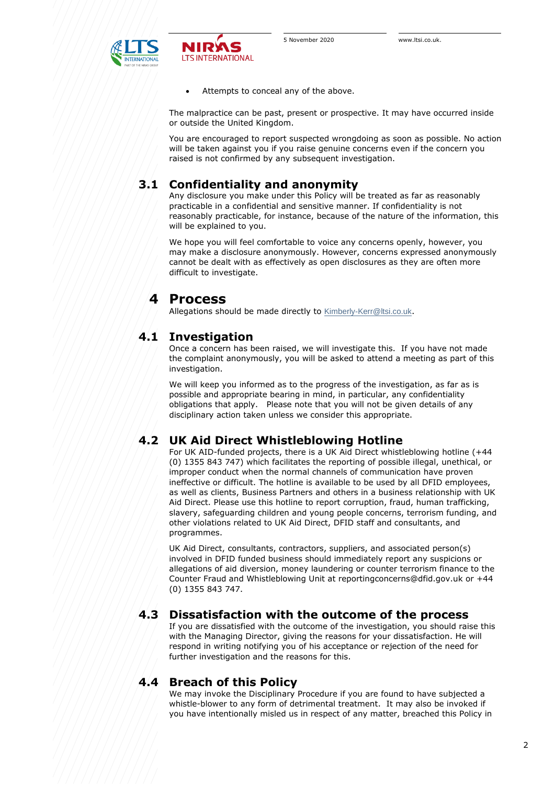

Attempts to conceal any of the above.

The malpractice can be past, present or prospective. It may have occurred inside or outside the United Kingdom.

You are encouraged to report suspected wrongdoing as soon as possible. No action will be taken against you if you raise genuine concerns even if the concern you raised is not confirmed by any subsequent investigation.

### **3.1 Confidentiality and anonymity**

**LTS INTERNATIONAL** 

Any disclosure you make under this Policy will be treated as far as reasonably practicable in a confidential and sensitive manner. If confidentiality is not reasonably practicable, for instance, because of the nature of the information, this will be explained to you.

We hope you will feel comfortable to voice any concerns openly, however, you may make a disclosure anonymously. However, concerns expressed anonymously cannot be dealt with as effectively as open disclosures as they are often more difficult to investigate.

# **4 Process**

Allegations should be made directly to [Kimberly-Kerr@ltsi.co.uk](mailto:Kimberly-Kerr@ltsi.co.uk).

#### **4.1 Investigation**

Once a concern has been raised, we will investigate this. If you have not made the complaint anonymously, you will be asked to attend a meeting as part of this investigation.

We will keep you informed as to the progress of the investigation, as far as is possible and appropriate bearing in mind, in particular, any confidentiality obligations that apply. Please note that you will not be given details of any disciplinary action taken unless we consider this appropriate.

#### **4.2 UK Aid Direct Whistleblowing Hotline**

For UK AID-funded projects, there is a UK Aid Direct whistleblowing hotline (+44 (0) 1355 843 747) which facilitates the reporting of possible illegal, unethical, or improper conduct when the normal channels of communication have proven ineffective or difficult. The hotline is available to be used by all DFID employees, as well as clients, Business Partners and others in a business relationship with UK Aid Direct. Please use this hotline to report corruption, fraud, human trafficking, slavery, safeguarding children and young people concerns, terrorism funding, and other violations related to UK Aid Direct, DFID staff and consultants, and programmes.

UK Aid Direct, consultants, contractors, suppliers, and associated person(s) involved in DFID funded business should immediately report any suspicions or allegations of aid diversion, money laundering or counter terrorism finance to the Counter Fraud and Whistleblowing Unit at reportingconcerns@dfid.gov.uk or +44 (0) 1355 843 747.

#### **4.3 Dissatisfaction with the outcome of the process**

If you are dissatisfied with the outcome of the investigation, you should raise this with the Managing Director, giving the reasons for your dissatisfaction. He will respond in writing notifying you of his acceptance or rejection of the need for further investigation and the reasons for this.

#### **4.4 Breach of this Policy**

We may invoke the Disciplinary Procedure if you are found to have subjected a whistle-blower to any form of detrimental treatment. It may also be invoked if you have intentionally misled us in respect of any matter, breached this Policy in